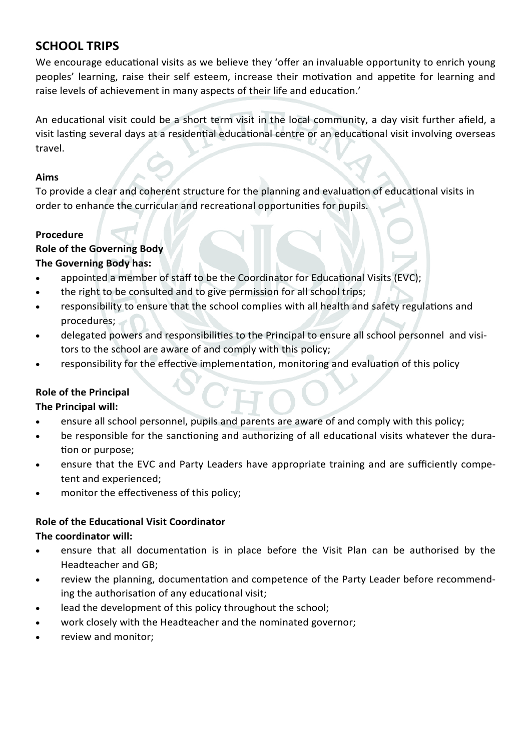# **SCHOOL TRIPS**

We encourage educational visits as we believe they 'offer an invaluable opportunity to enrich young peoples' learning, raise their self esteem, increase their motivation and appetite for learning and raise levels of achievement in many aspects of their life and education.'

An educational visit could be a short term visit in the local community, a day visit further afield, a visit lasting several days at a residential educational centre or an educational visit involving overseas travel.

#### **Aims**

To provide a clear and coherent structure for the planning and evaluation of educational visits in order to enhance the curricular and recreational opportunities for pupils.

### **Procedure**

## **Role of the Governing Body The Governing Body has:**

- appointed a member of staff to be the Coordinator for Educational Visits (EVC);
- the right to be consulted and to give permission for all school trips;
- responsibility to ensure that the school complies with all health and safety regulations and procedures;
- delegated powers and responsibilities to the Principal to ensure all school personnel and visitors to the school are aware of and comply with this policy;
- responsibility for the effective implementation, monitoring and evaluation of this policy

# **Role of the Principal**

## **The Principal will:**

- ensure all school personnel, pupils and parents are aware of and comply with this policy;
- be responsible for the sanctioning and authorizing of all educational visits whatever the duration or purpose;
- ensure that the EVC and Party Leaders have appropriate training and are sufficiently competent and experienced;
- monitor the effectiveness of this policy;

## **Role of the Educational Visit Coordinator**

## **The coordinator will:**

- ensure that all documentation is in place before the Visit Plan can be authorised by the Headteacher and GB;
- review the planning, documentation and competence of the Party Leader before recommending the authorisation of any educational visit;
- lead the development of this policy throughout the school;
- work closely with the Headteacher and the nominated governor;
- review and monitor;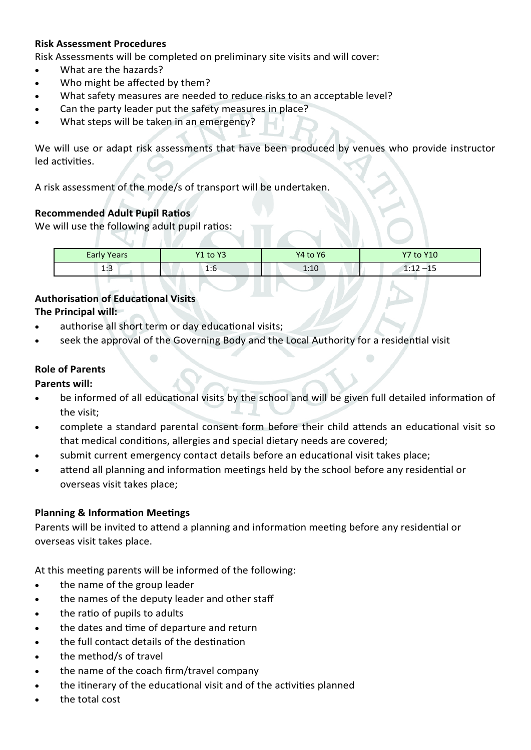#### **Risk Assessment Procedures**

Risk Assessments will be completed on preliminary site visits and will cover:

- What are the hazards?
- Who might be affected by them?
- What safety measures are needed to reduce risks to an acceptable level?
- Can the party leader put the safety measures in place?
- What steps will be taken in an emergency?

We will use or adapt risk assessments that have been produced by venues who provide instructor led activities.

A risk assessment of the mode/s of transport will be undertaken.

#### **Recommended Adult Pupil Ratios**

We will use the following adult pupil ratios:

| <b>Early Years</b> | Y1 to Y3 | Y4 to Y6 | <b>Y7 to Y10</b> |
|--------------------|----------|----------|------------------|
| 1.<br>ر. 1         | 1:6      | 1:10     | 1.17<br>----     |

#### **Authorisation of Educational Visits The Principal will:**

- authorise all short term or day educational visits;
- seek the approval of the Governing Body and the Local Authority for a residential visit

#### **Role of Parents**

#### **Parents will:**

- be informed of all educational visits by the school and will be given full detailed information of the visit;
- complete a standard parental consent form before their child attends an educational visit so that medical conditions, allergies and special dietary needs are covered;
- submit current emergency contact details before an educational visit takes place;
- attend all planning and information meetings held by the school before any residential or overseas visit takes place;

#### **Planning & Information Meetings**

Parents will be invited to attend a planning and information meeting before any residential or overseas visit takes place.

At this meeting parents will be informed of the following:

- the name of the group leader
- the names of the deputy leader and other staff
- the ratio of pupils to adults
- the dates and time of departure and return
- the full contact details of the destination
- the method/s of travel
- the name of the coach firm/travel company
- the itinerary of the educational visit and of the activities planned
- the total cost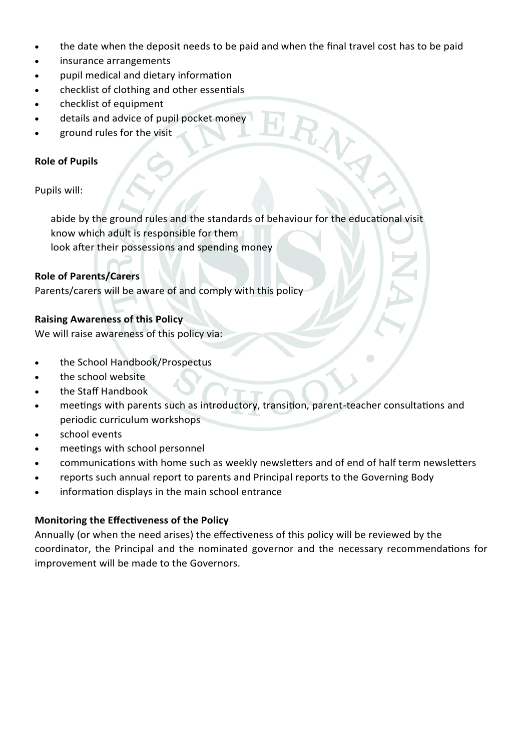• the date when the deposit needs to be paid and when the final travel cost has to be paid

RAY

- insurance arrangements
- pupil medical and dietary information
- checklist of clothing and other essentials
- checklist of equipment
- details and advice of pupil pocket money
- ground rules for the visit

#### **Role of Pupils**

#### Pupils will:

abide by the ground rules and the standards of behaviour for the educational visit know which adult is responsible for them look after their possessions and spending money

#### **Role of Parents/Carers**

Parents/carers will be aware of and comply with this policy

#### **Raising Awareness of this Policy**

We will raise awareness of this policy via:

- the School Handbook/Prospectus
- the school website
- the Staff Handbook
- meetings with parents such as introductory, transition, parent-teacher consultations and periodic curriculum workshops
- school events
- meetings with school personnel
- communications with home such as weekly newsletters and of end of half term newsletters
- reports such annual report to parents and Principal reports to the Governing Body
- information displays in the main school entrance

#### **Monitoring the Effectiveness of the Policy**

Annually (or when the need arises) the effectiveness of this policy will be reviewed by the coordinator, the Principal and the nominated governor and the necessary recommendations for improvement will be made to the Governors.